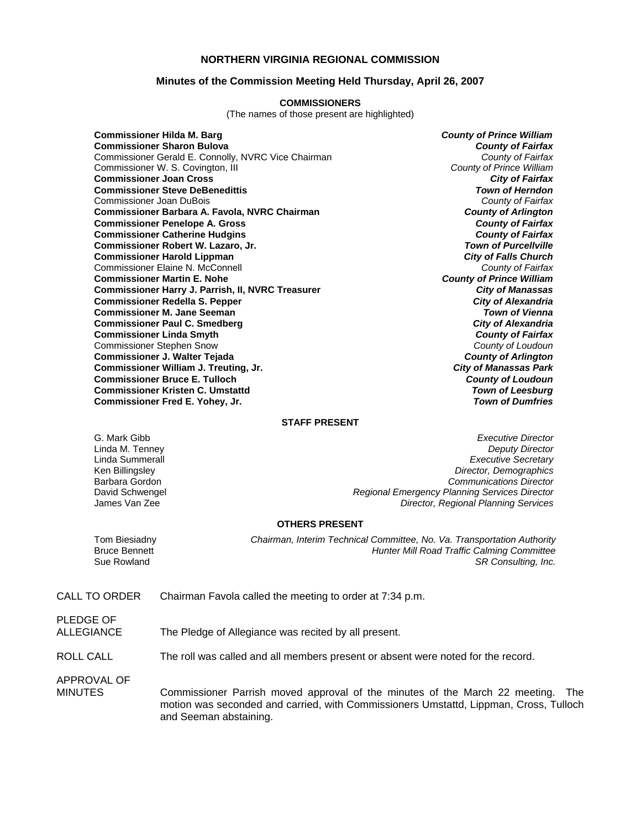#### **NORTHERN VIRGINIA REGIONAL COMMISSION**

#### **Minutes of the Commission Meeting Held Thursday, April 26, 2007**

#### **COMMISSIONERS**

(The names of those present are highlighted)

**Commissioner Hilda M. Barg** *County of Prince William* **Commissioner Sharon Bulova** *County of Fairfax* Commissioner Gerald E. Connolly, NVRC Vice Chairman *County of Fairfax* Commissioner W. S. Covington, III *County of Prince William* **Commissioner Joan Cross** *City of Fairfax* **Commissioner Steve DeBenedittis** *Town of Herndon* Commissioner Joan DuBois *County of Fairfax* **Commissioner Barbara A. Favola, NVRC Chairman** *County of Arlington* **Commissioner Penelope A. Gross** *County of Fairfax* **Commissioner Catherine Hudgins** *County of Fairfax* **Commissioner Robert W. Lazaro, Jr.** *Town of Purcellville* **Commissioner Harold Lippman** *City of Falls Church* Commissioner Elaine N. McConnell *County of Fairfax* **Commissioner Martin E. Nohe** *County of Prince William* **Commissioner Harry J. Parrish, II, NVRC Treasurer** *City of Manassas* **Commissioner Redella S. Pepper** *City of Alexandria* **Commissioner M. Jane Seeman** *Town of Vienna* **Commissioner Paul C. Smedberg** *City of Alexandria* **Commissioner Linda Smyth** *County of Fairfax* Commissioner Stephen Snow *County of Loudoun* **Commissioner J. Walter Tejada** *County of Arlington* **Commissioner William J. Treuting, Jr.** *City of Manassas Park* **Commissioner Bruce E. Tulloch** *County of Loudoun* **Commissioner Kristen C. Umstattd** *Town of Leesburg* **Commissioner Fred E. Yohey, Jr.** *Town of Dumfries*

#### **STAFF PRESENT**

G. Mark Gibb *Executive Director* Linda M. Tenney *Deputy Director* **Executive Secretary** Ken Billingsley *Director, Demographics* Barbara Gordon *Communications Director* David Schwengel *Regional Emergency Planning Services Director* James Van Zee *Director, Regional Planning Services*

#### **OTHERS PRESENT**

Tom Biesiadny *Chairman, Interim Technical Committee, No. Va. Transportation Authority* Bruce Bennett *Hunter Mill Road Traffic Calming Committee*  Sue Rowland *SR Consulting, Inc.* 

CALL TO ORDER Chairman Favola called the meeting to order at 7:34 p.m.

PLEDGE OF ALLEGIANCE The Pledge of Allegiance was recited by all present.

ROLL CALL The roll was called and all members present or absent were noted for the record.

APPROVAL OF

MINUTES Commissioner Parrish moved approval of the minutes of the March 22 meeting. The motion was seconded and carried, with Commissioners Umstattd, Lippman, Cross, Tulloch and Seeman abstaining.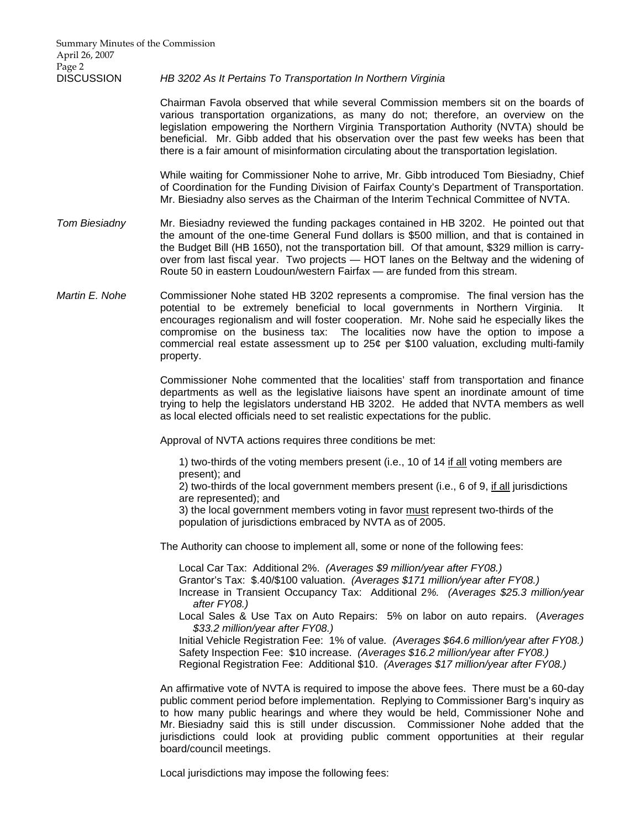#### DISCUSSION *HB 3202 As It Pertains To Transportation In Northern Virginia*

 Chairman Favola observed that while several Commission members sit on the boards of various transportation organizations, as many do not; therefore, an overview on the legislation empowering the Northern Virginia Transportation Authority (NVTA) should be beneficial. Mr. Gibb added that his observation over the past few weeks has been that there is a fair amount of misinformation circulating about the transportation legislation.

 While waiting for Commissioner Nohe to arrive, Mr. Gibb introduced Tom Biesiadny, Chief of Coordination for the Funding Division of Fairfax County's Department of Transportation. Mr. Biesiadny also serves as the Chairman of the Interim Technical Committee of NVTA.

- *Tom Biesiadny* Mr. Biesiadny reviewed the funding packages contained in HB 3202. He pointed out that the amount of the one-time General Fund dollars is \$500 million, and that is contained in the Budget Bill (HB 1650), not the transportation bill. Of that amount, \$329 million is carryover from last fiscal year. Two projects — HOT lanes on the Beltway and the widening of Route 50 in eastern Loudoun/western Fairfax — are funded from this stream.
- *Martin E. Nohe* Commissioner Nohe stated HB 3202 represents a compromise. The final version has the potential to be extremely beneficial to local governments in Northern Virginia. It encourages regionalism and will foster cooperation. Mr. Nohe said he especially likes the compromise on the business tax: The localities now have the option to impose a commercial real estate assessment up to  $25¢$  per \$100 valuation, excluding multi-family property.

 Commissioner Nohe commented that the localities' staff from transportation and finance departments as well as the legislative liaisons have spent an inordinate amount of time trying to help the legislators understand HB 3202. He added that NVTA members as well as local elected officials need to set realistic expectations for the public.

Approval of NVTA actions requires three conditions be met:

 1) two-thirds of the voting members present (i.e., 10 of 14 if all voting members are present); and

 2) two-thirds of the local government members present (i.e., 6 of 9, if all jurisdictions are represented); and

 3) the local government members voting in favor must represent two-thirds of the population of jurisdictions embraced by NVTA as of 2005.

The Authority can choose to implement all, some or none of the following fees:

Local Car Tax: Additional 2%. *(Averages \$9 million/year after FY08.)*

Grantor's Tax: \$.40/\$100 valuation. *(Averages \$171 million/year after FY08.)*

Increase in Transient Occupancy Tax: Additional 2*%. (Averages \$25.3 million/year after FY08.)*

Local Sales & Use Tax on Auto Repairs: 5% on labor on auto repairs. (*Averages \$33.2 million/year after FY08.)*

Initial Vehicle Registration Fee: 1% of value*. (Averages \$64.6 million/year after FY08.)*  Safety Inspection Fee: \$10 increase. *(Averages \$16.2 million/year after FY08.)* Regional Registration Fee: Additional \$10. *(Averages \$17 million/year after FY08.)*

 An affirmative vote of NVTA is required to impose the above fees. There must be a 60-day public comment period before implementation. Replying to Commissioner Barg's inquiry as to how many public hearings and where they would be held, Commissioner Nohe and Mr. Biesiadny said this is still under discussion. Commissioner Nohe added that the jurisdictions could look at providing public comment opportunities at their regular board/council meetings.

Local jurisdictions may impose the following fees: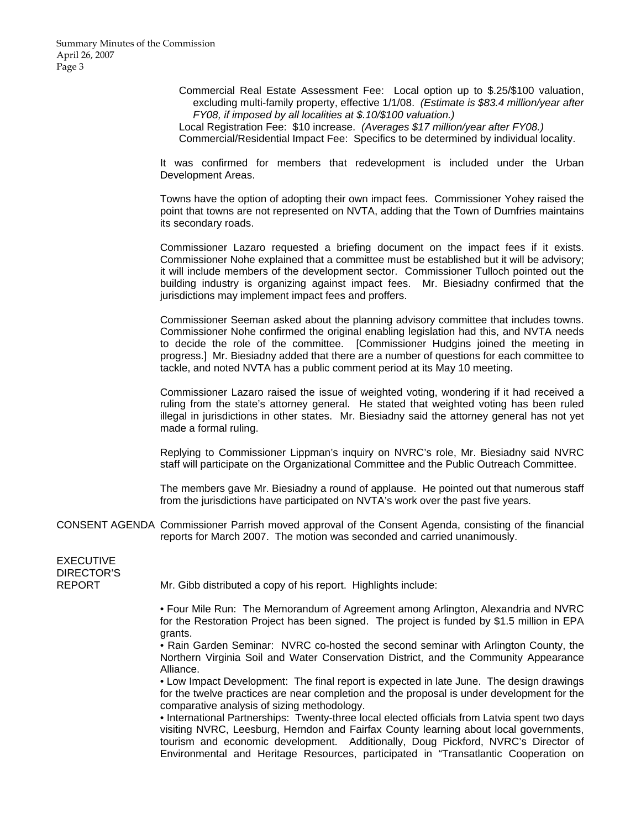Summary Minutes of the Commission April 26, 2007 Page 3

> Commercial Real Estate Assessment Fee: Local option up to \$.25/\$100 valuation, excluding multi-family property, effective 1/1/08. *(Estimate is \$83.4 million/year after FY08, if imposed by all localities at \$.10/\$100 valuation.)*

Local Registration Fee: \$10 increase. *(Averages \$17 million/year after FY08.)* Commercial/Residential Impact Fee: Specifics to be determined by individual locality.

It was confirmed for members that redevelopment is included under the Urban Development Areas.

Towns have the option of adopting their own impact fees. Commissioner Yohey raised the point that towns are not represented on NVTA, adding that the Town of Dumfries maintains its secondary roads.

Commissioner Lazaro requested a briefing document on the impact fees if it exists. Commissioner Nohe explained that a committee must be established but it will be advisory; it will include members of the development sector. Commissioner Tulloch pointed out the building industry is organizing against impact fees. Mr. Biesiadny confirmed that the jurisdictions may implement impact fees and proffers.

Commissioner Seeman asked about the planning advisory committee that includes towns. Commissioner Nohe confirmed the original enabling legislation had this, and NVTA needs to decide the role of the committee. [Commissioner Hudgins joined the meeting in progress.] Mr. Biesiadny added that there are a number of questions for each committee to tackle, and noted NVTA has a public comment period at its May 10 meeting.

Commissioner Lazaro raised the issue of weighted voting, wondering if it had received a ruling from the state's attorney general. He stated that weighted voting has been ruled illegal in jurisdictions in other states. Mr. Biesiadny said the attorney general has not yet made a formal ruling.

Replying to Commissioner Lippman's inquiry on NVRC's role, Mr. Biesiadny said NVRC staff will participate on the Organizational Committee and the Public Outreach Committee.

The members gave Mr. Biesiadny a round of applause. He pointed out that numerous staff from the jurisdictions have participated on NVTA's work over the past five years.

CONSENT AGENDA Commissioner Parrish moved approval of the Consent Agenda, consisting of the financial reports for March 2007. The motion was seconded and carried unanimously.

EXECUTIVE DIRECTOR'S

REPORT Mr. Gibb distributed a copy of his report. Highlights include:

 • Four Mile Run: The Memorandum of Agreement among Arlington, Alexandria and NVRC for the Restoration Project has been signed. The project is funded by \$1.5 million in EPA grants.

 • Rain Garden Seminar: NVRC co-hosted the second seminar with Arlington County, the Northern Virginia Soil and Water Conservation District, and the Community Appearance Alliance.

 • Low Impact Development: The final report is expected in late June. The design drawings for the twelve practices are near completion and the proposal is under development for the comparative analysis of sizing methodology.

 • International Partnerships: Twenty-three local elected officials from Latvia spent two days visiting NVRC, Leesburg, Herndon and Fairfax County learning about local governments, tourism and economic development. Additionally, Doug Pickford, NVRC's Director of Environmental and Heritage Resources, participated in "Transatlantic Cooperation on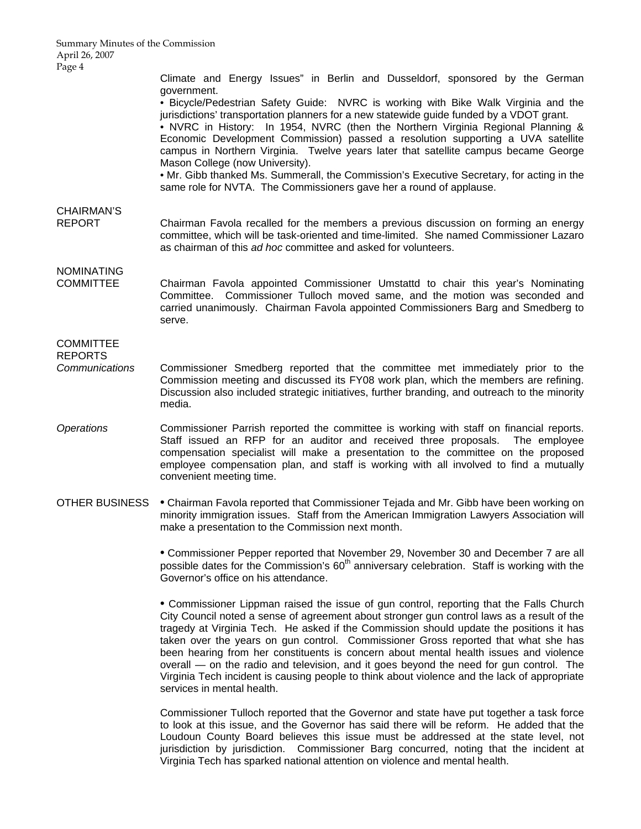Climate and Energy Issues" in Berlin and Dusseldorf, sponsored by the German government.

 • Bicycle/Pedestrian Safety Guide: NVRC is working with Bike Walk Virginia and the jurisdictions' transportation planners for a new statewide guide funded by a VDOT grant.

 • NVRC in History: In 1954, NVRC (then the Northern Virginia Regional Planning & Economic Development Commission) passed a resolution supporting a UVA satellite campus in Northern Virginia. Twelve years later that satellite campus became George Mason College (now University).

 • Mr. Gibb thanked Ms. Summerall, the Commission's Executive Secretary, for acting in the same role for NVTA. The Commissioners gave her a round of applause.

# CHAIRMAN'S

REPORT Chairman Favola recalled for the members a previous discussion on forming an energy committee, which will be task-oriented and time-limited. She named Commissioner Lazaro as chairman of this *ad hoc* committee and asked for volunteers.

## NOMINATING

COMMITTEE Chairman Favola appointed Commissioner Umstattd to chair this year's Nominating Committee. Commissioner Tulloch moved same, and the motion was seconded and carried unanimously. Chairman Favola appointed Commissioners Barg and Smedberg to serve.

### **COMMITTEE**

REPORTS

- *Communications* Commissioner Smedberg reported that the committee met immediately prior to the Commission meeting and discussed its FY08 work plan, which the members are refining. Discussion also included strategic initiatives, further branding, and outreach to the minority media.
- *Operations* Commissioner Parrish reported the committee is working with staff on financial reports. Staff issued an RFP for an auditor and received three proposals. The employee compensation specialist will make a presentation to the committee on the proposed employee compensation plan, and staff is working with all involved to find a mutually convenient meeting time.
- OTHER BUSINESS Chairman Favola reported that Commissioner Tejada and Mr. Gibb have been working on minority immigration issues. Staff from the American Immigration Lawyers Association will make a presentation to the Commission next month.

 • Commissioner Pepper reported that November 29, November 30 and December 7 are all possible dates for the Commission's  $60<sup>th</sup>$  anniversary celebration. Staff is working with the Governor's office on his attendance.

 • Commissioner Lippman raised the issue of gun control, reporting that the Falls Church City Council noted a sense of agreement about stronger gun control laws as a result of the tragedy at Virginia Tech. He asked if the Commission should update the positions it has taken over the years on gun control. Commissioner Gross reported that what she has been hearing from her constituents is concern about mental health issues and violence overall — on the radio and television, and it goes beyond the need for gun control. The Virginia Tech incident is causing people to think about violence and the lack of appropriate services in mental health.

 Commissioner Tulloch reported that the Governor and state have put together a task force to look at this issue, and the Governor has said there will be reform. He added that the Loudoun County Board believes this issue must be addressed at the state level, not jurisdiction by jurisdiction. Commissioner Barg concurred, noting that the incident at Virginia Tech has sparked national attention on violence and mental health.